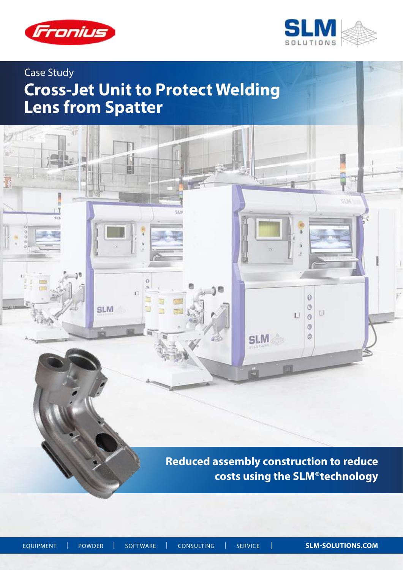



# Case Study

# **Cross-Jet Unit to Protect Welding Lens from Spatter**

īΠ  $91:$ 国 5536 53.3  $50$  $\frac{0}{0}$  $\theta$  $\alpha$ 'n  $\ddot{\mathbf{0}}$ ₿  $\circ$ **SLM** E U  $\Box$  $\ddot{\text{o}}$  $\circledcirc$ 89 ië O **SLM** 圏 **Reduced assembly construction to reduce**

 **costs using the SLM®technology**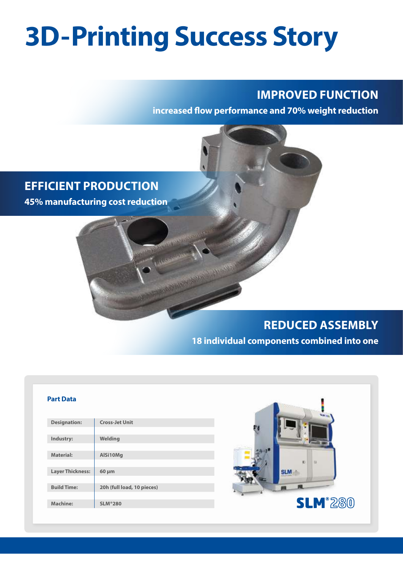# **3D-Printing Success Story**

## **IMPROVED FUNCTION**

**increased flow performance and 70% weight reduction**



# **REDUCED ASSEMBLY**

**18 individual components combined into one**

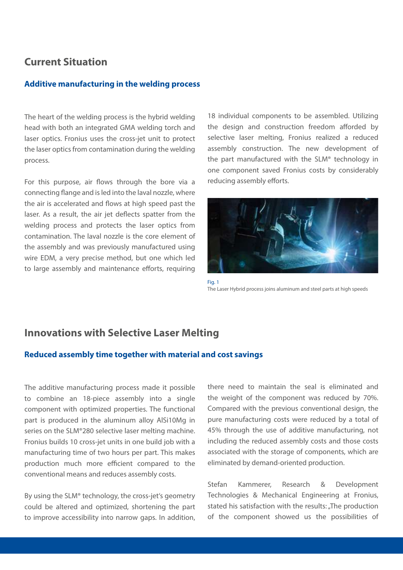### **Current Situation**

#### **Additive manufacturing in the welding process**

The heart of the welding process is the hybrid welding head with both an integrated GMA welding torch and laser optics. Fronius uses the cross-jet unit to protect the laser optics from contamination during the welding process.

For this purpose, air flows through the bore via a connecting flange and is led into the laval nozzle, where the air is accelerated and flows at high speed past the laser. As a result, the air jet deflects spatter from the welding process and protects the laser optics from contamination. The laval nozzle is the core element of the assembly and was previously manufactured using wire EDM, a very precise method, but one which led to large assembly and maintenance efforts, requiring

18 individual components to be assembled. Utilizing the design and construction freedom afforded by selective laser melting, Fronius realized a reduced assembly construction. The new development of the part manufactured with the SLM® technology in one component saved Fronius costs by considerably reducing assembly efforts.



Fig. 1 The Laser Hybrid process joins aluminum and steel parts at high speeds

## **Innovations with Selective Laser Melting**

#### **Reduced assembly time together with material and cost savings**

The additive manufacturing process made it possible to combine an 18-piece assembly into a single component with optimized properties. The functional part is produced in the aluminum alloy AlSi10Mg in series on the SLM®280 selective laser melting machine. Fronius builds 10 cross-jet units in one build job with a manufacturing time of two hours per part. This makes production much more efficient compared to the conventional means and reduces assembly costs.

By using the SLM® technology, the cross-jet's geometry could be altered and optimized, shortening the part to improve accessibility into narrow gaps. In addition,

there need to maintain the seal is eliminated and the weight of the component was reduced by 70%. Compared with the previous conventional design, the pure manufacturing costs were reduced by a total of 45% through the use of additive manufacturing, not including the reduced assembly costs and those costs associated with the storage of components, which are eliminated by demand-oriented production.

Stefan Kammerer, Research & Development Technologies & Mechanical Engineering at Fronius, stated his satisfaction with the results: "The production of the component showed us the possibilities of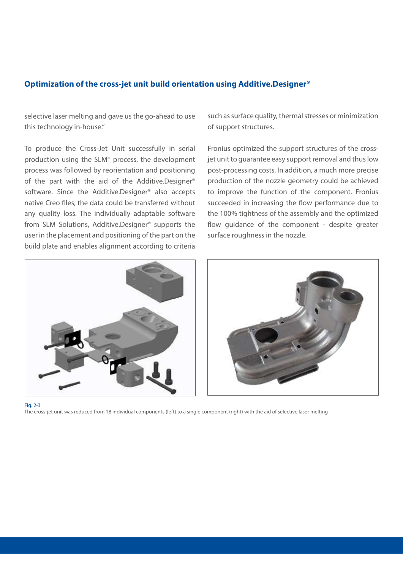#### **Optimization of the cross-jet unit build orientation using Additive.Designer®**

selective laser melting and gave us the go-ahead to use this technology in-house."

To produce the Cross-Jet Unit successfully in serial production using the SLM® process, the development process was followed by reorientation and positioning of the part with the aid of the Additive.Designer® software. Since the Additive.Designer® also accepts native Creo files, the data could be transferred without any quality loss. The individually adaptable software from SLM Solutions, Additive.Designer® supports the user in the placement and positioning of the part on the build plate and enables alignment according to criteria

such as surface quality, thermal stresses or minimization of support structures.

Fronius optimized the support structures of the crossjet unit to guarantee easy support removal and thus low post-processing costs. In addition, a much more precise production of the nozzle geometry could be achieved to improve the function of the component. Fronius succeeded in increasing the flow performance due to the 100% tightness of the assembly and the optimized flow guidance of the component - despite greater surface roughness in the nozzle.





Fig. 2-3

The cross-jet unit was reduced from 18 individual components (left) to a single component (right) with the aid of selective laser melting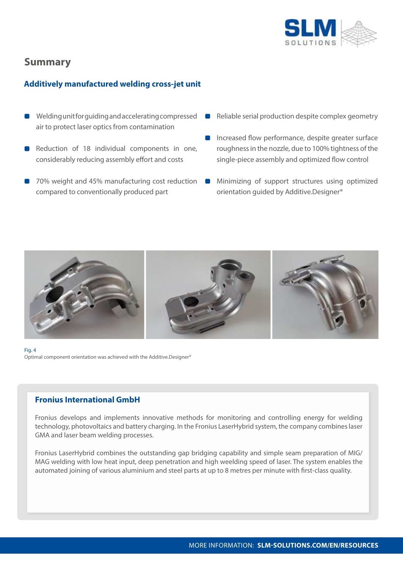

## **Summary**

#### **Additively manufactured welding cross-jet unit**

- Welding unit for guiding and accelerating compressed air to protect laser optics from contamination
- Reduction of 18 individual components in one, considerably reducing assembly effort and costs
- 70% weight and 45% manufacturing cost reduction compared to conventionally produced part
- Reliable serial production despite complex geometry
- Increased flow performance, despite greater surface roughness in the nozzle, due to 100% tightness of the single-piece assembly and optimized flow control
- Minimizing of support structures using optimized  $\blacksquare$ orientation guided by Additive.Designer®



Fig. 4 Optimal component orientation was achieved with the Additive.Designer®

#### **Fronius International GmbH**

Fronius develops and implements innovative methods for monitoring and controlling energy for welding technology, photovoltaics and battery charging. In the Fronius LaserHybrid system, the company combines laser GMA and laser beam welding processes.

Fronius LaserHybrid combines the outstanding gap bridging capability and simple seam preparation of MIG/ MAG welding with low heat input, deep penetration and high weelding speed of laser. The system enables the automated joining of various aluminium and steel parts at up to 8 metres per minute with first-class quality.